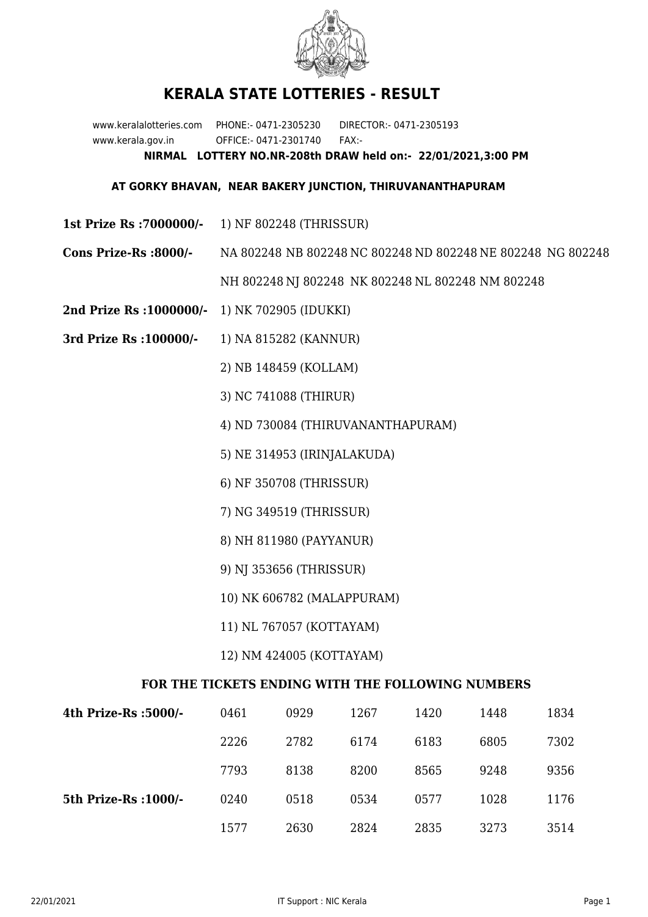

## **KERALA STATE LOTTERIES - RESULT**

www.keralalotteries.com PHONE:- 0471-2305230 DIRECTOR:- 0471-2305193 www.kerala.gov.in OFFICE:- 0471-2301740 FAX:- **NIRMAL LOTTERY NO.NR-208th DRAW held on:- 22/01/2021,3:00 PM**

## **AT GORKY BHAVAN, NEAR BAKERY JUNCTION, THIRUVANANTHAPURAM**

- **1st Prize Rs :7000000/-** 1) NF 802248 (THRISSUR)
- **Cons Prize-Rs :8000/-** NA 802248 NB 802248 NC 802248 ND 802248 NE 802248 NG 802248

NH 802248 NJ 802248 NK 802248 NL 802248 NM 802248

- **2nd Prize Rs :1000000/-** 1) NK 702905 (IDUKKI)
- **3rd Prize Rs :100000/-** 1) NA 815282 (KANNUR)

2) NB 148459 (KOLLAM)

3) NC 741088 (THIRUR)

4) ND 730084 (THIRUVANANTHAPURAM)

5) NE 314953 (IRINJALAKUDA)

6) NF 350708 (THRISSUR)

7) NG 349519 (THRISSUR)

8) NH 811980 (PAYYANUR)

9) NJ 353656 (THRISSUR)

10) NK 606782 (MALAPPURAM)

11) NL 767057 (KOTTAYAM)

12) NM 424005 (KOTTAYAM)

## **FOR THE TICKETS ENDING WITH THE FOLLOWING NUMBERS**

| 4th Prize-Rs :5000/-  | 0461 | 0929 | 1267 | 1420 | 1448 | 1834 |
|-----------------------|------|------|------|------|------|------|
|                       | 2226 | 2782 | 6174 | 6183 | 6805 | 7302 |
|                       | 7793 | 8138 | 8200 | 8565 | 9248 | 9356 |
| 5th Prize-Rs : 1000/- | 0240 | 0518 | 0534 | 0577 | 1028 | 1176 |
|                       | 1577 | 2630 | 2824 | 2835 | 3273 | 3514 |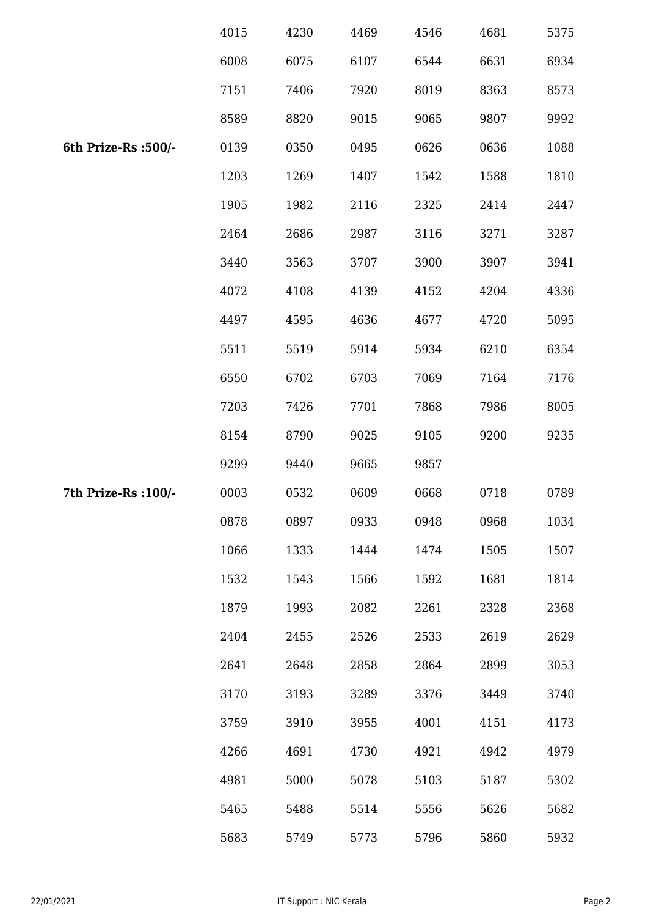|                      | 4015 | 4230 | 4469 | 4546 | 4681 | 5375 |
|----------------------|------|------|------|------|------|------|
|                      | 6008 | 6075 | 6107 | 6544 | 6631 | 6934 |
|                      | 7151 | 7406 | 7920 | 8019 | 8363 | 8573 |
|                      | 8589 | 8820 | 9015 | 9065 | 9807 | 9992 |
| 6th Prize-Rs :500/-  | 0139 | 0350 | 0495 | 0626 | 0636 | 1088 |
|                      | 1203 | 1269 | 1407 | 1542 | 1588 | 1810 |
|                      | 1905 | 1982 | 2116 | 2325 | 2414 | 2447 |
|                      | 2464 | 2686 | 2987 | 3116 | 3271 | 3287 |
|                      | 3440 | 3563 | 3707 | 3900 | 3907 | 3941 |
|                      | 4072 | 4108 | 4139 | 4152 | 4204 | 4336 |
|                      | 4497 | 4595 | 4636 | 4677 | 4720 | 5095 |
|                      | 5511 | 5519 | 5914 | 5934 | 6210 | 6354 |
|                      | 6550 | 6702 | 6703 | 7069 | 7164 | 7176 |
|                      | 7203 | 7426 | 7701 | 7868 | 7986 | 8005 |
|                      | 8154 | 8790 | 9025 | 9105 | 9200 | 9235 |
|                      | 9299 | 9440 | 9665 | 9857 |      |      |
| 7th Prize-Rs : 100/- | 0003 | 0532 | 0609 | 0668 | 0718 | 0789 |
|                      | 0878 | 0897 | 0933 | 0948 | 0968 | 1034 |
|                      | 1066 | 1333 | 1444 | 1474 | 1505 | 1507 |
|                      | 1532 | 1543 | 1566 | 1592 | 1681 | 1814 |
|                      | 1879 | 1993 | 2082 | 2261 | 2328 | 2368 |
|                      | 2404 | 2455 | 2526 | 2533 | 2619 | 2629 |
|                      | 2641 | 2648 | 2858 | 2864 | 2899 | 3053 |
|                      | 3170 | 3193 | 3289 | 3376 | 3449 | 3740 |
|                      | 3759 | 3910 | 3955 | 4001 | 4151 | 4173 |
|                      | 4266 | 4691 | 4730 | 4921 | 4942 | 4979 |
|                      | 4981 | 5000 | 5078 | 5103 | 5187 | 5302 |
|                      | 5465 | 5488 | 5514 | 5556 | 5626 | 5682 |
|                      | 5683 | 5749 | 5773 | 5796 | 5860 | 5932 |